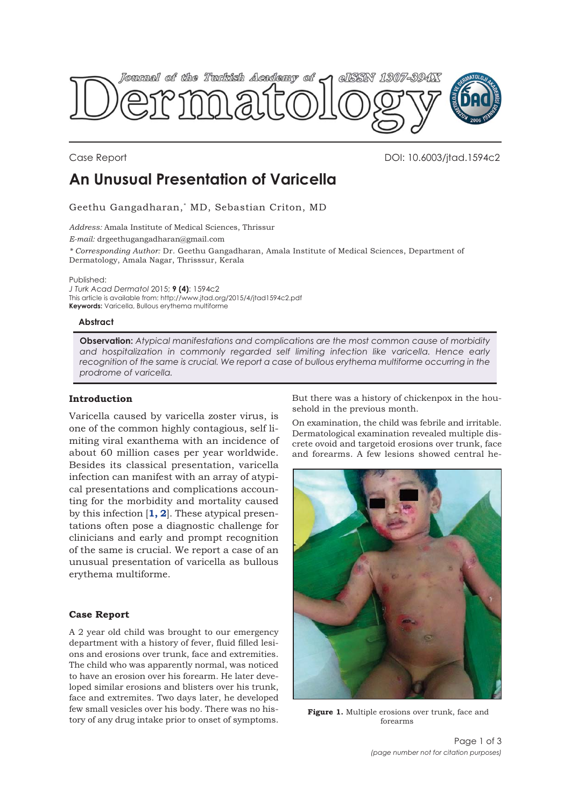<span id="page-0-0"></span>

Case Report DOI: 10.6003/jtad.1594c2

# **An Unusual Presentation of Varicella**

Geethu Gangadharan,\* MD, Sebastian Criton, MD

*Address:* Amala Institute of Medical Sciences, Thrissur *E-mail:* drgeethugangadharan@gmail.com *\* Corresponding Author:* Dr. Geethu Gangadharan, Amala Institute of Medical Sciences, Department of Dermatology, Amala Nagar, Thrisssur, Kerala

Published:

*J Turk Acad Dermatol* 2015; **9 (4)**: 1594c2 This article is available from: http://www.jtad.org/2015/4/jtad1594c2.pdf **Keywords:** Varicella, Bullous erythema multiforme

### **Abstract**

**Observation:** *Atypical manifestations and complications are the most common cause of morbidity and hospitalization in commonly regarded self limiting infection like varicella. Hence early recognition of the same is crucial. We report a case of bullous erythema multiforme occurring in the prodrome of varicella.*

# **Introduction**

Varicella caused by varicella zoster virus, is one of the common highly contagious, self limiting viral exanthema with an incidence of about 60 million cases per year worldwide. Besides its classical presentation, varicella infection can manifest with an array of atypical presentations and complications accounting for the morbidity and mortality caused by this infection [**[1, 2](#page-2-0)**]. These atypical presentations often pose a diagnostic challenge for clinicians and early and prompt recognition of the same is crucial. We report a case of an unusual presentation of varicella as bullous erythema multiforme.

### **Case Report**

A 2 year old child was brought to our emergency department with a history of fever, fluid filled lesions and erosions over trunk, face and extremities. The child who was apparently normal, was noticed to have an erosion over his forearm. He later developed similar erosions and blisters over his trunk, face and extremites. Two days later, he developed few small vesicles over his body. There was no history of any drug intake prior to onset of symptoms.

But there was a history of chickenpox in the household in the previous month.

On examination, the child was febrile and irritable. Dermatological examination revealed multiple discrete ovoid and targetoid erosions over trunk, face and forearms. A few lesions showed central he-



Figure 1. Multiple erosions over trunk, face and forearms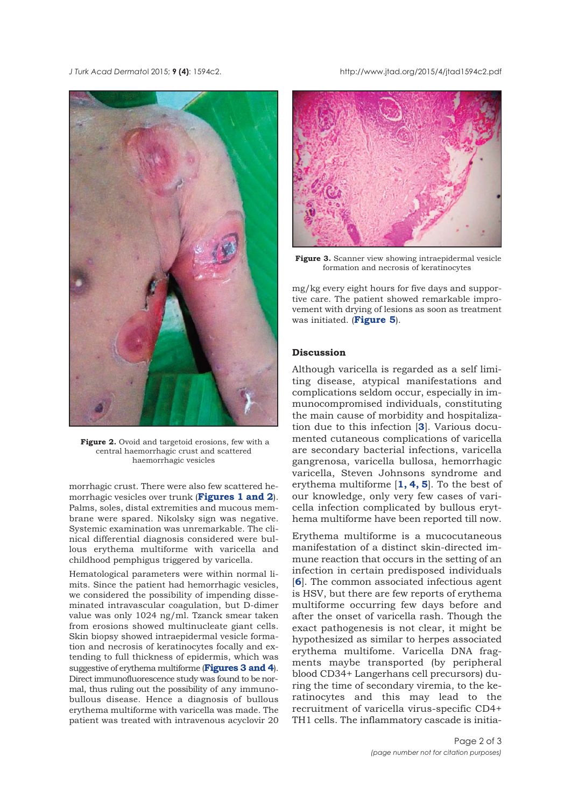**Figure 2.** Ovoid and targetoid erosions, few with a central haemorrhagic crust and scattered haemorrhagic vesicles

morrhagic crust. There were also few scattered hemorrhagic vesicles over trunk (**[Figures 1](#page-0-0) and 2**). Palms, soles, distal extremities and mucous membrane were spared. Nikolsky sign was negative. Systemic examination was unremarkable. The clinical differential diagnosis considered were bullous erythema multiforme with varicella and childhood pemphigus triggered by varicella.

Hematological parameters were within normal limits. Since the patient had hemorrhagic vesicles, we considered the possibility of impending disseminated intravascular coagulation, but D-dimer value was only 1024 ng/ml. Tzanck smear taken from erosions showed multinucleate giant cells. Skin biopsy showed intraepidermal vesicle formation and necrosis of keratinocytes focally and extending to full thickness of epidermis, which was suggestive of erythema multiforme (**Figures 3 and [4](#page-2-0)**). Direct immunofluorescence study was found to be normal, thus ruling out the possibility of any immunobullous disease. Hence a diagnosis of bullous erythema multiforme with varicella was made. The patient was treated with intravenous acyclovir 20

*J Turk Acad Dermato*l 2015; **9 (4)**: 1594c2. http://www.jtad.org/2015/4/jtad1594c2.pdf



**Figure 3.** Scanner view showing intraepidermal vesicle formation and necrosis of keratinocytes

mg/kg every eight hours for five days and supportive care. The patient showed remarkable improvement with drying of lesions as soon as treatment was initiated. (**[Figure 5](#page-2-0)**).

# **Discussion**

Although varicella is regarded as a self limiting disease, atypical manifestations and complications seldom occur, especially in immunocompromised individuals, constituting the main cause of morbidity and hospitalization due to this infection [**[3](#page-2-0)**]. Various documented cutaneous complications of varicella are secondary bacterial infections, varicella gangrenosa, varicella bullosa, hemorrhagic varicella, Steven Johnsons syndrome and erythema multiforme [**[1, 4, 5](#page-2-0)**]. To the best of our knowledge, only very few cases of varicella infection complicated by bullous erythema multiforme have been reported till now.

Erythema multiforme is a mucocutaneous manifestation of a distinct skin-directed immune reaction that occurs in the setting of an infection in certain predisposed individuals [**[6](#page-2-0)**]. The common associated infectious agent is HSV, but there are few reports of erythema multiforme occurring few days before and after the onset of varicella rash. Though the exact pathogenesis is not clear, it might be hypothesized as similar to herpes associated erythema multifome. Varicella DNA fragments maybe transported (by peripheral blood CD34+ Langerhans cell precursors) during the time of secondary viremia, to the keratinocytes and this may lead to the recruitment of varicella virus-specific CD4+ TH1 cells. The inflammatory cascade is initia-